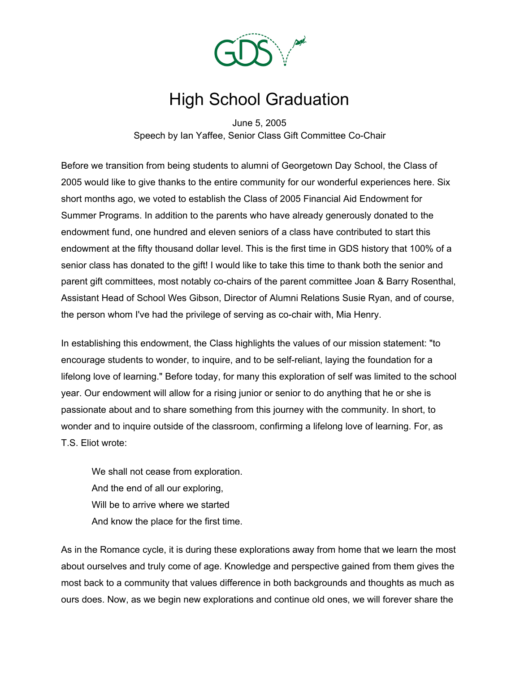

## High School Graduation

June 5, 2005 Speech by Ian Yaffee, Senior Class Gift Committee Co-Chair

Before we transition from being students to alumni of Georgetown Day School, the Class of 2005 would like to give thanks to the entire community for our wonderful experiences here. Six short months ago, we voted to establish the Class of 2005 Financial Aid Endowment for Summer Programs. In addition to the parents who have already generously donated to the endowment fund, one hundred and eleven seniors of a class have contributed to start this endowment at the fifty thousand dollar level. This is the first time in GDS history that 100% of a senior class has donated to the gift! I would like to take this time to thank both the senior and parent gift committees, most notably co-chairs of the parent committee Joan & Barry Rosenthal, Assistant Head of School Wes Gibson, Director of Alumni Relations Susie Ryan, and of course, the person whom I've had the privilege of serving as co-chair with, Mia Henry.

In establishing this endowment, the Class highlights the values of our mission statement: "to encourage students to wonder, to inquire, and to be self-reliant, laying the foundation for a lifelong love of learning." Before today, for many this exploration of self was limited to the school year. Our endowment will allow for a rising junior or senior to do anything that he or she is passionate about and to share something from this journey with the community. In short, to wonder and to inquire outside of the classroom, confirming a lifelong love of learning. For, as T.S. Eliot wrote:

We shall not cease from exploration. And the end of all our exploring, Will be to arrive where we started And know the place for the first time.

As in the Romance cycle, it is during these explorations away from home that we learn the most about ourselves and truly come of age. Knowledge and perspective gained from them gives the most back to a community that values difference in both backgrounds and thoughts as much as ours does. Now, as we begin new explorations and continue old ones, we will forever share the